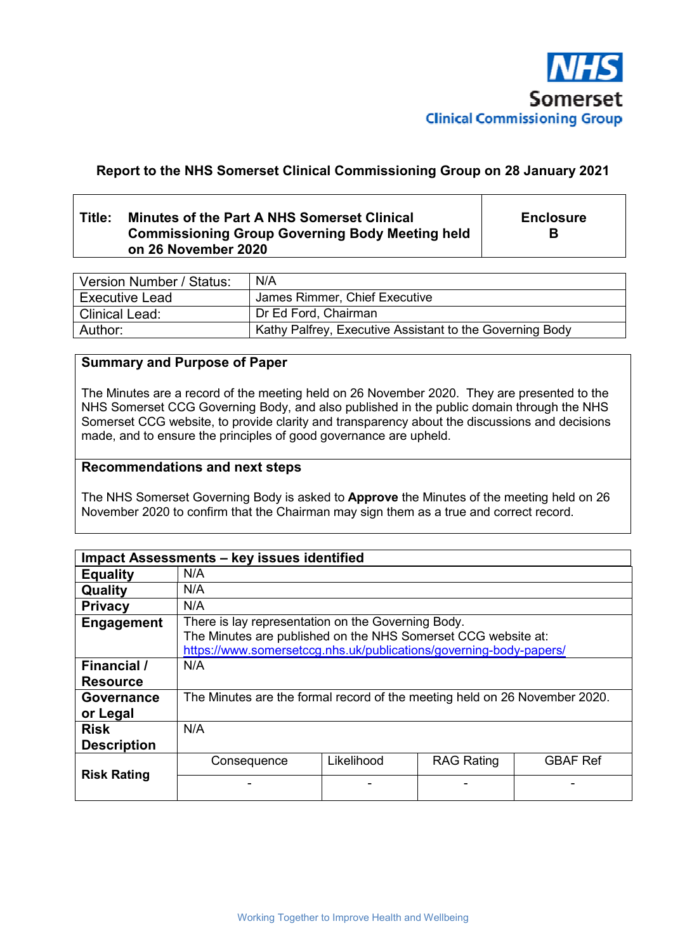

# **Report to the NHS Somerset Clinical Commissioning Group on 28 January 2021**

# **Title: Minutes of the Part A NHS Somerset Clinical Commissioning Group Governing Body Meeting held on 26 November 2020**

**Enclosure B** 

| Version Number / Status: | N/A                                                      |  |
|--------------------------|----------------------------------------------------------|--|
| <b>Executive Lead</b>    | James Rimmer, Chief Executive                            |  |
| Clinical Lead:           | Dr Ed Ford, Chairman                                     |  |
| Author:                  | Kathy Palfrey, Executive Assistant to the Governing Body |  |

## **Summary and Purpose of Paper**

The Minutes are a record of the meeting held on 26 November 2020. They are presented to the NHS Somerset CCG Governing Body, and also published in the public domain through the NHS Somerset CCG website, to provide clarity and transparency about the discussions and decisions made, and to ensure the principles of good governance are upheld.

### **Recommendations and next steps**

The NHS Somerset Governing Body is asked to **Approve** the Minutes of the meeting held on 26 November 2020 to confirm that the Chairman may sign them as a true and correct record.

|                                   | Impact Assessments - key issues identified                                                                                                                                                |            |                   |                 |
|-----------------------------------|-------------------------------------------------------------------------------------------------------------------------------------------------------------------------------------------|------------|-------------------|-----------------|
| <b>Equality</b>                   | N/A                                                                                                                                                                                       |            |                   |                 |
| Quality                           | N/A                                                                                                                                                                                       |            |                   |                 |
| <b>Privacy</b>                    | N/A                                                                                                                                                                                       |            |                   |                 |
| Engagement                        | There is lay representation on the Governing Body.<br>The Minutes are published on the NHS Somerset CCG website at:<br>https://www.somersetccg.nhs.uk/publications/governing-body-papers/ |            |                   |                 |
| Financial /<br><b>Resource</b>    | N/A                                                                                                                                                                                       |            |                   |                 |
| Governance<br>or Legal            | The Minutes are the formal record of the meeting held on 26 November 2020.                                                                                                                |            |                   |                 |
| <b>Risk</b><br><b>Description</b> | N/A                                                                                                                                                                                       |            |                   |                 |
|                                   | Consequence                                                                                                                                                                               | Likelihood | <b>RAG Rating</b> | <b>GBAF Ref</b> |
| <b>Risk Rating</b>                |                                                                                                                                                                                           |            |                   |                 |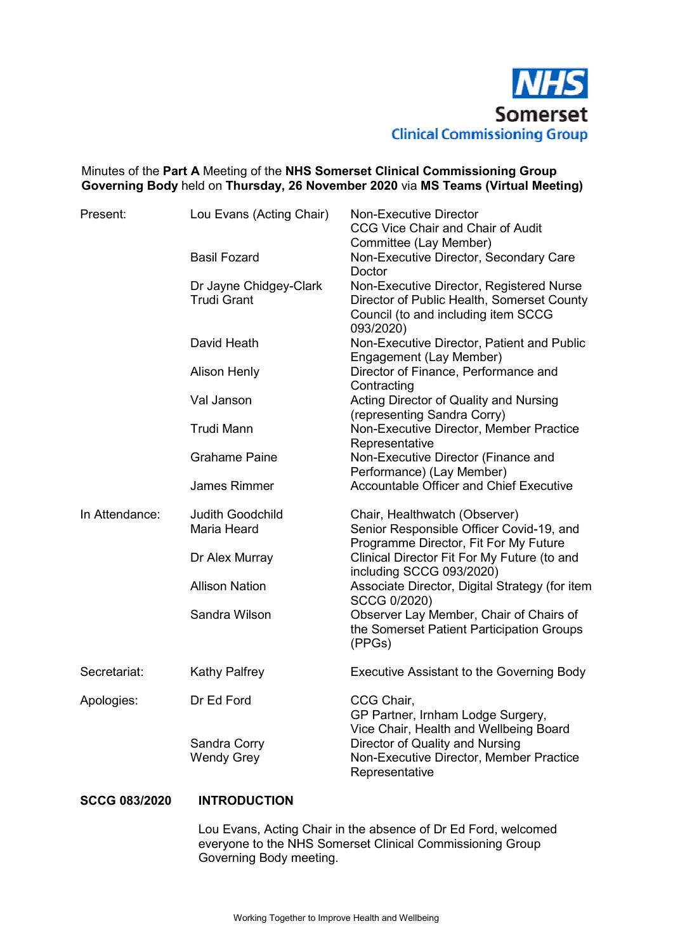

# Minutes of the **Part A** Meeting of the **NHS Somerset Clinical Commissioning Group Governing Body** held on **Thursday, 26 November 2020** via **MS Teams (Virtual Meeting)**

| Present:       | Lou Evans (Acting Chair)                      | <b>Non-Executive Director</b><br><b>CCG Vice Chair and Chair of Audit</b><br>Committee (Lay Member)                                        |
|----------------|-----------------------------------------------|--------------------------------------------------------------------------------------------------------------------------------------------|
|                | <b>Basil Fozard</b>                           | Non-Executive Director, Secondary Care<br>Doctor                                                                                           |
|                | Dr Jayne Chidgey-Clark<br><b>Trudi Grant</b>  | Non-Executive Director, Registered Nurse<br>Director of Public Health, Somerset County<br>Council (to and including item SCCG<br>093/2020) |
|                | David Heath                                   | Non-Executive Director, Patient and Public<br>Engagement (Lay Member)                                                                      |
|                | <b>Alison Henly</b>                           | Director of Finance, Performance and<br>Contracting                                                                                        |
|                | Val Janson                                    | Acting Director of Quality and Nursing<br>(representing Sandra Corry)                                                                      |
|                | <b>Trudi Mann</b>                             | Non-Executive Director, Member Practice<br>Representative                                                                                  |
|                | <b>Grahame Paine</b>                          | Non-Executive Director (Finance and<br>Performance) (Lay Member)                                                                           |
|                | <b>James Rimmer</b>                           | Accountable Officer and Chief Executive                                                                                                    |
| In Attendance: | <b>Judith Goodchild</b><br><b>Maria Heard</b> | Chair, Healthwatch (Observer)<br>Senior Responsible Officer Covid-19, and<br>Programme Director, Fit For My Future                         |
|                | Dr Alex Murray                                | Clinical Director Fit For My Future (to and<br>including SCCG 093/2020)                                                                    |
|                | <b>Allison Nation</b>                         | Associate Director, Digital Strategy (for item<br>SCCG 0/2020)                                                                             |
|                | Sandra Wilson                                 | Observer Lay Member, Chair of Chairs of<br>the Somerset Patient Participation Groups<br>(PPGs)                                             |
| Secretariat:   | <b>Kathy Palfrey</b>                          | Executive Assistant to the Governing Body                                                                                                  |
| Apologies:     | Dr Ed Ford                                    | CCG Chair,<br>GP Partner, Irnham Lodge Surgery,<br>Vice Chair, Health and Wellbeing Board                                                  |
|                | Sandra Corry<br><b>Wendy Grey</b>             | Director of Quality and Nursing<br>Non-Executive Director, Member Practice<br>Representative                                               |

### **SCCG 083/2020 INTRODUCTION**

 Lou Evans, Acting Chair in the absence of Dr Ed Ford, welcomed everyone to the NHS Somerset Clinical Commissioning Group Governing Body meeting.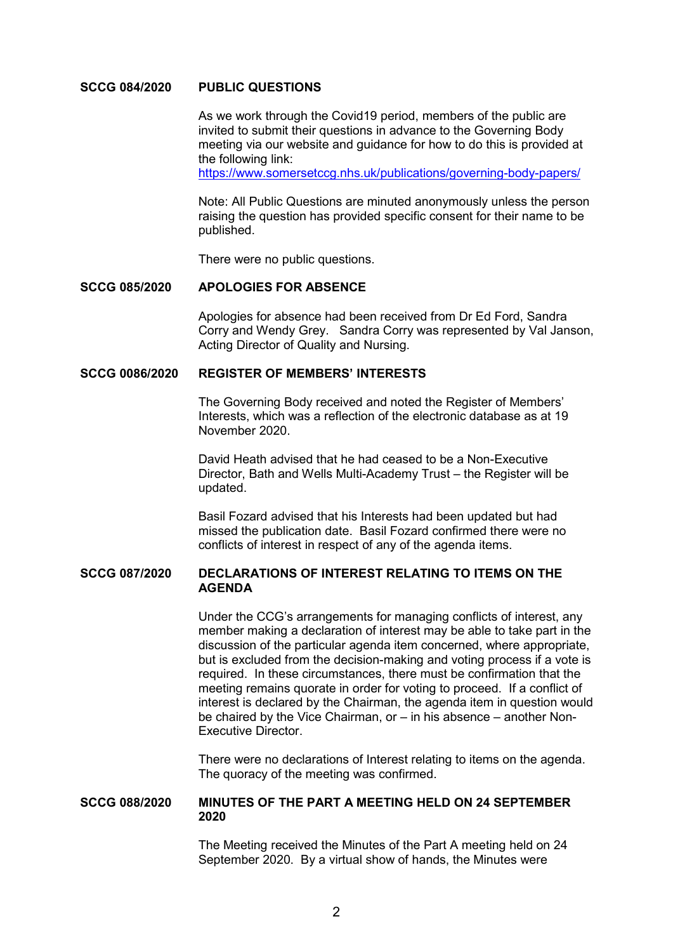#### **SCCG 084/2020 PUBLIC QUESTIONS**

 As we work through the Covid19 period, members of the public are invited to submit their questions in advance to the Governing Body meeting via our website and guidance for how to do this is provided at the following link:

https://www.somersetccg.nhs.uk/publications/governing-body-papers/

 Note: All Public Questions are minuted anonymously unless the person raising the question has provided specific consent for their name to be published.

There were no public questions.

#### **SCCG 085/2020 APOLOGIES FOR ABSENCE**

Apologies for absence had been received from Dr Ed Ford, Sandra Corry and Wendy Grey. Sandra Corry was represented by Val Janson, Acting Director of Quality and Nursing.

#### **SCCG 0086/2020 REGISTER OF MEMBERS' INTERESTS**

 The Governing Body received and noted the Register of Members' Interests, which was a reflection of the electronic database as at 19 November 2020.

David Heath advised that he had ceased to be a Non-Executive Director, Bath and Wells Multi-Academy Trust – the Register will be updated.

Basil Fozard advised that his Interests had been updated but had missed the publication date. Basil Fozard confirmed there were no conflicts of interest in respect of any of the agenda items.

#### **SCCG 087/2020 DECLARATIONS OF INTEREST RELATING TO ITEMS ON THE AGENDA**

 Under the CCG's arrangements for managing conflicts of interest, any member making a declaration of interest may be able to take part in the discussion of the particular agenda item concerned, where appropriate, but is excluded from the decision-making and voting process if a vote is required. In these circumstances, there must be confirmation that the meeting remains quorate in order for voting to proceed. If a conflict of interest is declared by the Chairman, the agenda item in question would be chaired by the Vice Chairman, or – in his absence – another Non-Executive Director.

 There were no declarations of Interest relating to items on the agenda. The quoracy of the meeting was confirmed.

#### **SCCG 088/2020 MINUTES OF THE PART A MEETING HELD ON 24 SEPTEMBER 2020**

 The Meeting received the Minutes of the Part A meeting held on 24 September 2020. By a virtual show of hands, the Minutes were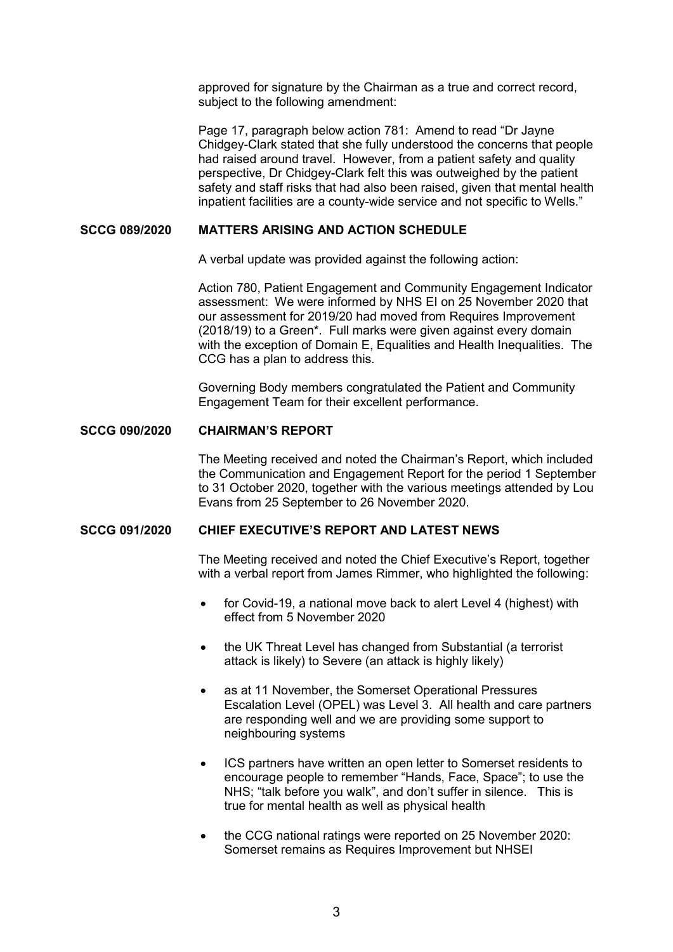approved for signature by the Chairman as a true and correct record, subject to the following amendment:

 Page 17, paragraph below action 781: Amend to read "Dr Jayne Chidgey-Clark stated that she fully understood the concerns that people had raised around travel. However, from a patient safety and quality perspective, Dr Chidgey-Clark felt this was outweighed by the patient safety and staff risks that had also been raised, given that mental health inpatient facilities are a county-wide service and not specific to Wells."

## **SCCG 089/2020 MATTERS ARISING AND ACTION SCHEDULE**

A verbal update was provided against the following action:

 Action 780, Patient Engagement and Community Engagement Indicator assessment: We were informed by NHS EI on 25 November 2020 that our assessment for 2019/20 had moved from Requires Improvement (2018/19) to a Green\*. Full marks were given against every domain with the exception of Domain E, Equalities and Health Inequalities. The CCG has a plan to address this.

 Governing Body members congratulated the Patient and Community Engagement Team for their excellent performance.

### **SCCG 090/2020 CHAIRMAN'S REPORT**

 The Meeting received and noted the Chairman's Report, which included the Communication and Engagement Report for the period 1 September to 31 October 2020, together with the various meetings attended by Lou Evans from 25 September to 26 November 2020.

### **SCCG 091/2020 CHIEF EXECUTIVE'S REPORT AND LATEST NEWS**

 The Meeting received and noted the Chief Executive's Report, together with a verbal report from James Rimmer, who highlighted the following:

- for Covid-19, a national move back to alert Level 4 (highest) with effect from 5 November 2020
- the UK Threat Level has changed from Substantial (a terrorist attack is likely) to Severe (an attack is highly likely)
- as at 11 November, the Somerset Operational Pressures Escalation Level (OPEL) was Level 3. All health and care partners are responding well and we are providing some support to neighbouring systems
- ICS partners have written an open letter to Somerset residents to encourage people to remember "Hands, Face, Space"; to use the NHS; "talk before you walk", and don't suffer in silence. This is true for mental health as well as physical health
- the CCG national ratings were reported on 25 November 2020: Somerset remains as Requires Improvement but NHSEI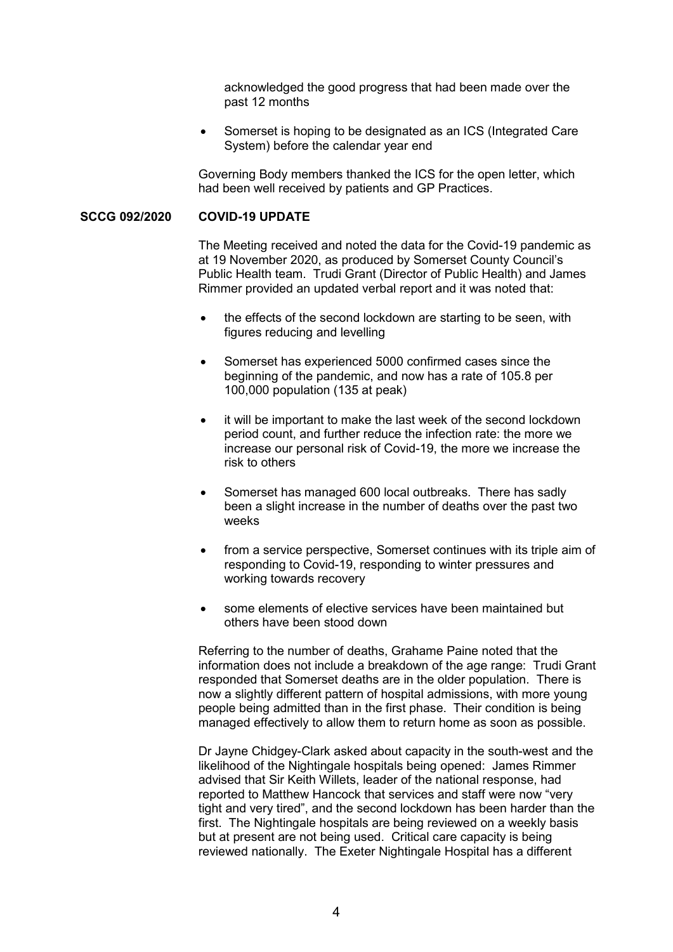acknowledged the good progress that had been made over the past 12 months

 Somerset is hoping to be designated as an ICS (Integrated Care System) before the calendar year end

 Governing Body members thanked the ICS for the open letter, which had been well received by patients and GP Practices.

#### **SCCG 092/2020 COVID-19 UPDATE**

 The Meeting received and noted the data for the Covid-19 pandemic as at 19 November 2020, as produced by Somerset County Council's Public Health team. Trudi Grant (Director of Public Health) and James Rimmer provided an updated verbal report and it was noted that:

- the effects of the second lockdown are starting to be seen, with figures reducing and levelling
- Somerset has experienced 5000 confirmed cases since the beginning of the pandemic, and now has a rate of 105.8 per 100,000 population (135 at peak)
- it will be important to make the last week of the second lockdown period count, and further reduce the infection rate: the more we increase our personal risk of Covid-19, the more we increase the risk to others
- Somerset has managed 600 local outbreaks. There has sadly been a slight increase in the number of deaths over the past two weeks
- from a service perspective, Somerset continues with its triple aim of responding to Covid-19, responding to winter pressures and working towards recovery
- some elements of elective services have been maintained but others have been stood down

 Referring to the number of deaths, Grahame Paine noted that the information does not include a breakdown of the age range: Trudi Grant responded that Somerset deaths are in the older population. There is now a slightly different pattern of hospital admissions, with more young people being admitted than in the first phase. Their condition is being managed effectively to allow them to return home as soon as possible.

 Dr Jayne Chidgey-Clark asked about capacity in the south-west and the likelihood of the Nightingale hospitals being opened: James Rimmer advised that Sir Keith Willets, leader of the national response, had reported to Matthew Hancock that services and staff were now "very tight and very tired", and the second lockdown has been harder than the first. The Nightingale hospitals are being reviewed on a weekly basis but at present are not being used. Critical care capacity is being reviewed nationally. The Exeter Nightingale Hospital has a different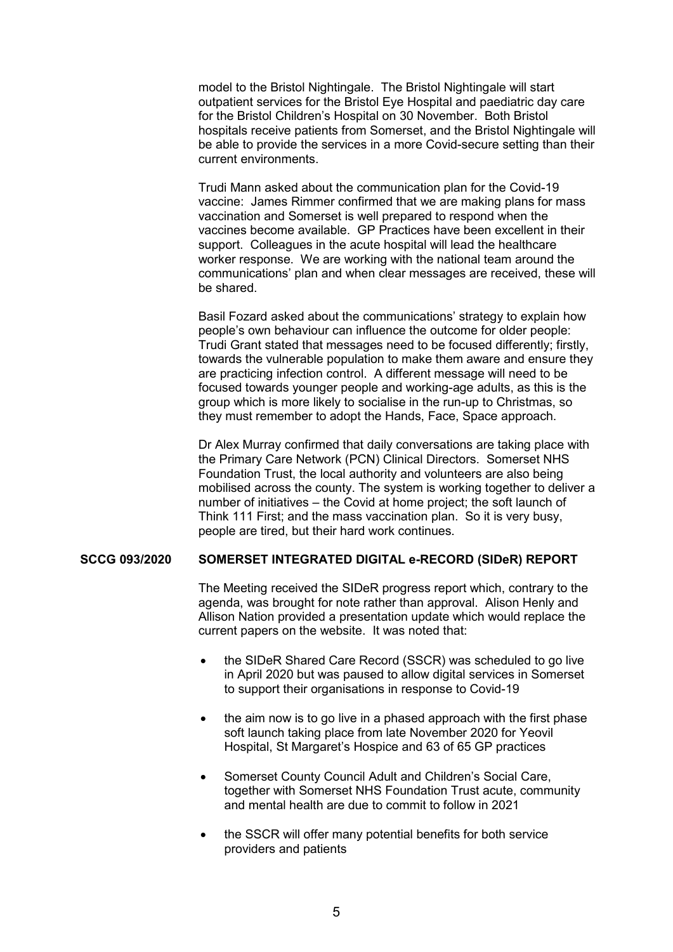model to the Bristol Nightingale. The Bristol Nightingale will start outpatient services for the Bristol Eye Hospital and paediatric day care for the Bristol Children's Hospital on 30 November. Both Bristol hospitals receive patients from Somerset, and the Bristol Nightingale will be able to provide the services in a more Covid-secure setting than their current environments.

 Trudi Mann asked about the communication plan for the Covid-19 vaccine: James Rimmer confirmed that we are making plans for mass vaccination and Somerset is well prepared to respond when the vaccines become available. GP Practices have been excellent in their support. Colleagues in the acute hospital will lead the healthcare worker response. We are working with the national team around the communications' plan and when clear messages are received, these will be shared.

 Basil Fozard asked about the communications' strategy to explain how people's own behaviour can influence the outcome for older people: Trudi Grant stated that messages need to be focused differently; firstly, towards the vulnerable population to make them aware and ensure they are practicing infection control. A different message will need to be focused towards younger people and working-age adults, as this is the group which is more likely to socialise in the run-up to Christmas, so they must remember to adopt the Hands, Face, Space approach.

 Dr Alex Murray confirmed that daily conversations are taking place with the Primary Care Network (PCN) Clinical Directors. Somerset NHS Foundation Trust, the local authority and volunteers are also being mobilised across the county. The system is working together to deliver a number of initiatives – the Covid at home project; the soft launch of Think 111 First; and the mass vaccination plan. So it is very busy, people are tired, but their hard work continues.

#### **SCCG 093/2020 SOMERSET INTEGRATED DIGITAL e-RECORD (SIDeR) REPORT**

 The Meeting received the SIDeR progress report which, contrary to the agenda, was brought for note rather than approval. Alison Henly and Allison Nation provided a presentation update which would replace the current papers on the website. It was noted that:

- the SIDeR Shared Care Record (SSCR) was scheduled to go live in April 2020 but was paused to allow digital services in Somerset to support their organisations in response to Covid-19
- the aim now is to go live in a phased approach with the first phase soft launch taking place from late November 2020 for Yeovil Hospital, St Margaret's Hospice and 63 of 65 GP practices
- Somerset County Council Adult and Children's Social Care, together with Somerset NHS Foundation Trust acute, community and mental health are due to commit to follow in 2021
- the SSCR will offer many potential benefits for both service providers and patients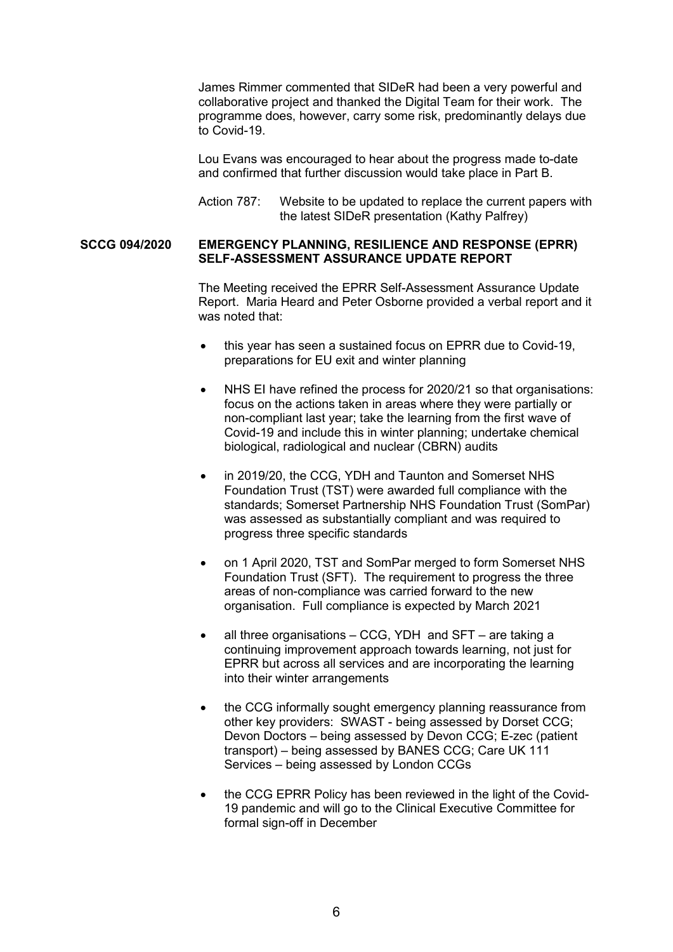James Rimmer commented that SIDeR had been a very powerful and collaborative project and thanked the Digital Team for their work. The programme does, however, carry some risk, predominantly delays due to Covid-19.

 Lou Evans was encouraged to hear about the progress made to-date and confirmed that further discussion would take place in Part B.

Action 787: Website to be updated to replace the current papers with the latest SIDeR presentation (Kathy Palfrey)

#### **SCCG 094/2020 EMERGENCY PLANNING, RESILIENCE AND RESPONSE (EPRR) SELF-ASSESSMENT ASSURANCE UPDATE REPORT**

 The Meeting received the EPRR Self-Assessment Assurance Update Report. Maria Heard and Peter Osborne provided a verbal report and it was noted that:

- this year has seen a sustained focus on EPRR due to Covid-19, preparations for EU exit and winter planning
- NHS EI have refined the process for 2020/21 so that organisations: focus on the actions taken in areas where they were partially or non-compliant last year; take the learning from the first wave of Covid-19 and include this in winter planning; undertake chemical biological, radiological and nuclear (CBRN) audits
- in 2019/20, the CCG, YDH and Taunton and Somerset NHS Foundation Trust (TST) were awarded full compliance with the standards; Somerset Partnership NHS Foundation Trust (SomPar) was assessed as substantially compliant and was required to progress three specific standards
- on 1 April 2020, TST and SomPar merged to form Somerset NHS Foundation Trust (SFT). The requirement to progress the three areas of non-compliance was carried forward to the new organisation. Full compliance is expected by March 2021
- all three organisations CCG, YDH and SFT are taking a continuing improvement approach towards learning, not just for EPRR but across all services and are incorporating the learning into their winter arrangements
- the CCG informally sought emergency planning reassurance from other key providers: SWAST - being assessed by Dorset CCG; Devon Doctors – being assessed by Devon CCG; E-zec (patient transport) – being assessed by BANES CCG; Care UK 111 Services – being assessed by London CCGs
- the CCG EPRR Policy has been reviewed in the light of the Covid-19 pandemic and will go to the Clinical Executive Committee for formal sign-off in December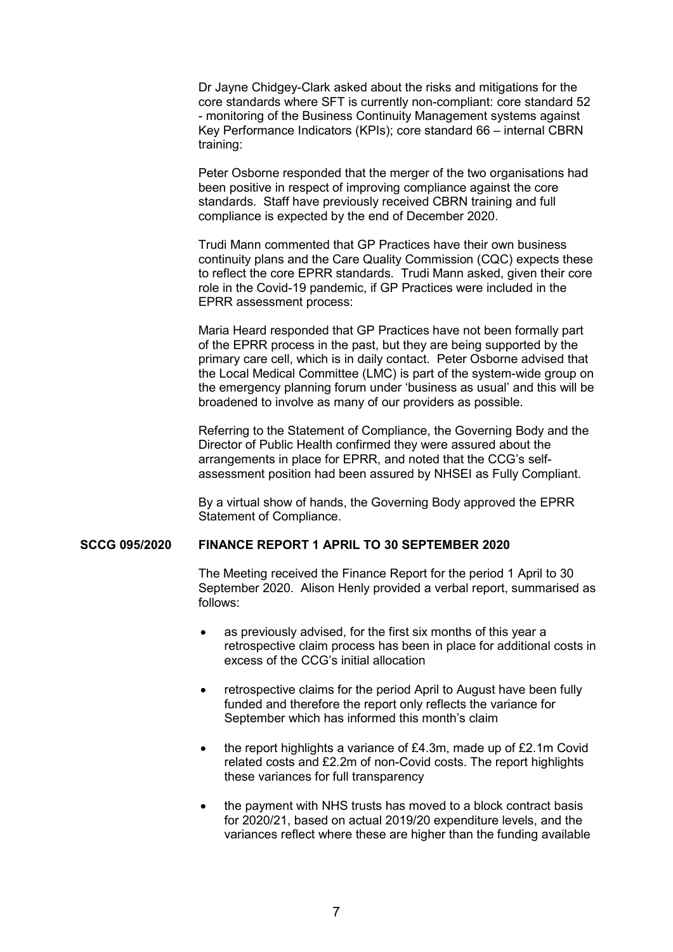Dr Jayne Chidgey-Clark asked about the risks and mitigations for the core standards where SFT is currently non-compliant: core standard 52 - monitoring of the Business Continuity Management systems against Key Performance Indicators (KPIs); core standard 66 – internal CBRN training:

 Peter Osborne responded that the merger of the two organisations had been positive in respect of improving compliance against the core standards. Staff have previously received CBRN training and full compliance is expected by the end of December 2020.

 Trudi Mann commented that GP Practices have their own business continuity plans and the Care Quality Commission (CQC) expects these to reflect the core EPRR standards. Trudi Mann asked, given their core role in the Covid-19 pandemic, if GP Practices were included in the EPRR assessment process:

 Maria Heard responded that GP Practices have not been formally part of the EPRR process in the past, but they are being supported by the primary care cell, which is in daily contact. Peter Osborne advised that the Local Medical Committee (LMC) is part of the system-wide group on the emergency planning forum under 'business as usual' and this will be broadened to involve as many of our providers as possible.

 Referring to the Statement of Compliance, the Governing Body and the Director of Public Health confirmed they were assured about the arrangements in place for EPRR, and noted that the CCG's selfassessment position had been assured by NHSEI as Fully Compliant.

 By a virtual show of hands, the Governing Body approved the EPRR Statement of Compliance.

### **SCCG 095/2020 FINANCE REPORT 1 APRIL TO 30 SEPTEMBER 2020**

 The Meeting received the Finance Report for the period 1 April to 30 September 2020. Alison Henly provided a verbal report, summarised as follows:

- as previously advised, for the first six months of this year a retrospective claim process has been in place for additional costs in excess of the CCG's initial allocation
- retrospective claims for the period April to August have been fully funded and therefore the report only reflects the variance for September which has informed this month's claim
- the report highlights a variance of £4.3m, made up of £2.1m Covid related costs and £2.2m of non-Covid costs. The report highlights these variances for full transparency
- the payment with NHS trusts has moved to a block contract basis for 2020/21, based on actual 2019/20 expenditure levels, and the variances reflect where these are higher than the funding available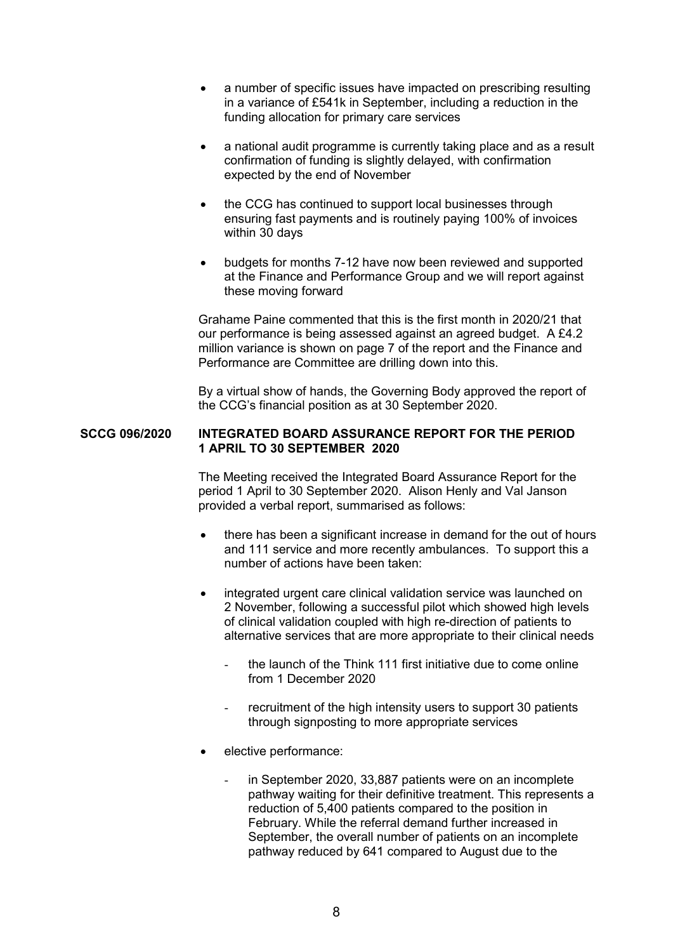- a number of specific issues have impacted on prescribing resulting in a variance of £541k in September, including a reduction in the funding allocation for primary care services
- a national audit programme is currently taking place and as a result confirmation of funding is slightly delayed, with confirmation expected by the end of November
- the CCG has continued to support local businesses through ensuring fast payments and is routinely paying 100% of invoices within 30 days
- budgets for months 7-12 have now been reviewed and supported at the Finance and Performance Group and we will report against these moving forward

 Grahame Paine commented that this is the first month in 2020/21 that our performance is being assessed against an agreed budget. A £4.2 million variance is shown on page 7 of the report and the Finance and Performance are Committee are drilling down into this.

 By a virtual show of hands, the Governing Body approved the report of the CCG's financial position as at 30 September 2020.

#### **SCCG 096/2020 INTEGRATED BOARD ASSURANCE REPORT FOR THE PERIOD 1 APRIL TO 30 SEPTEMBER 2020**

 The Meeting received the Integrated Board Assurance Report for the period 1 April to 30 September 2020. Alison Henly and Val Janson provided a verbal report, summarised as follows:

- there has been a significant increase in demand for the out of hours and 111 service and more recently ambulances. To support this a number of actions have been taken:
- integrated urgent care clinical validation service was launched on 2 November, following a successful pilot which showed high levels of clinical validation coupled with high re-direction of patients to alternative services that are more appropriate to their clinical needs
	- the launch of the Think 111 first initiative due to come online from 1 December 2020
	- recruitment of the high intensity users to support 30 patients through signposting to more appropriate services
- elective performance:
	- in September 2020, 33,887 patients were on an incomplete pathway waiting for their definitive treatment. This represents a reduction of 5,400 patients compared to the position in February. While the referral demand further increased in September, the overall number of patients on an incomplete pathway reduced by 641 compared to August due to the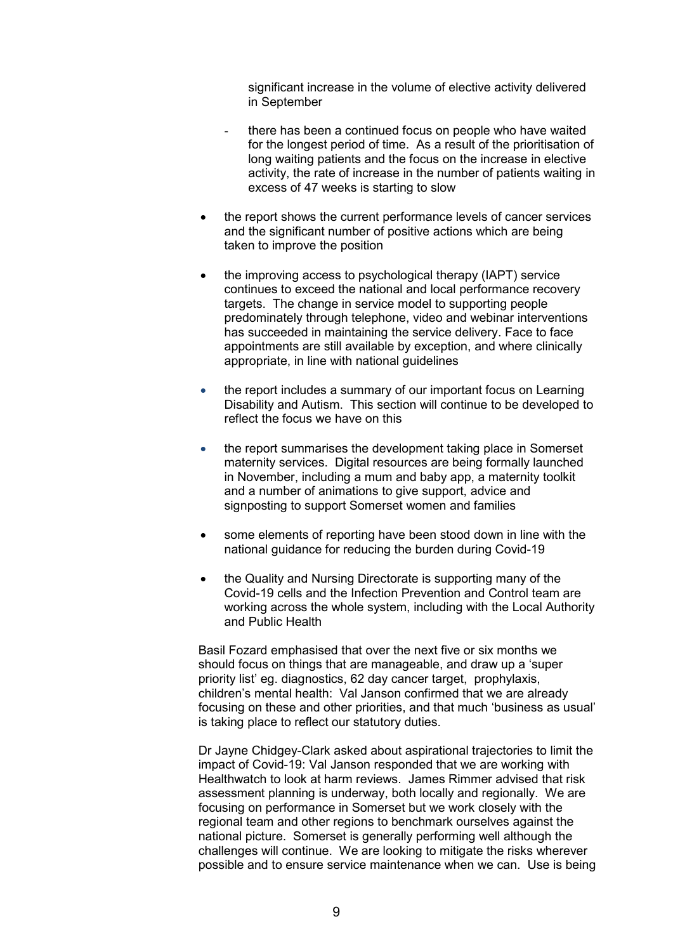significant increase in the volume of elective activity delivered in September

- there has been a continued focus on people who have waited for the longest period of time. As a result of the prioritisation of long waiting patients and the focus on the increase in elective activity, the rate of increase in the number of patients waiting in excess of 47 weeks is starting to slow
- the report shows the current performance levels of cancer services and the significant number of positive actions which are being taken to improve the position
- the improving access to psychological therapy (IAPT) service continues to exceed the national and local performance recovery targets. The change in service model to supporting people predominately through telephone, video and webinar interventions has succeeded in maintaining the service delivery. Face to face appointments are still available by exception, and where clinically appropriate, in line with national guidelines
- the report includes a summary of our important focus on Learning Disability and Autism. This section will continue to be developed to reflect the focus we have on this
- the report summarises the development taking place in Somerset maternity services. Digital resources are being formally launched in November, including a mum and baby app, a maternity toolkit and a number of animations to give support, advice and signposting to support Somerset women and families
- some elements of reporting have been stood down in line with the national guidance for reducing the burden during Covid-19
- the Quality and Nursing Directorate is supporting many of the Covid-19 cells and the Infection Prevention and Control team are working across the whole system, including with the Local Authority and Public Health

 Basil Fozard emphasised that over the next five or six months we should focus on things that are manageable, and draw up a 'super priority list' eg. diagnostics, 62 day cancer target, prophylaxis, children's mental health: Val Janson confirmed that we are already focusing on these and other priorities, and that much 'business as usual' is taking place to reflect our statutory duties.

 Dr Jayne Chidgey-Clark asked about aspirational trajectories to limit the impact of Covid-19: Val Janson responded that we are working with Healthwatch to look at harm reviews. James Rimmer advised that risk assessment planning is underway, both locally and regionally. We are focusing on performance in Somerset but we work closely with the regional team and other regions to benchmark ourselves against the national picture. Somerset is generally performing well although the challenges will continue. We are looking to mitigate the risks wherever possible and to ensure service maintenance when we can. Use is being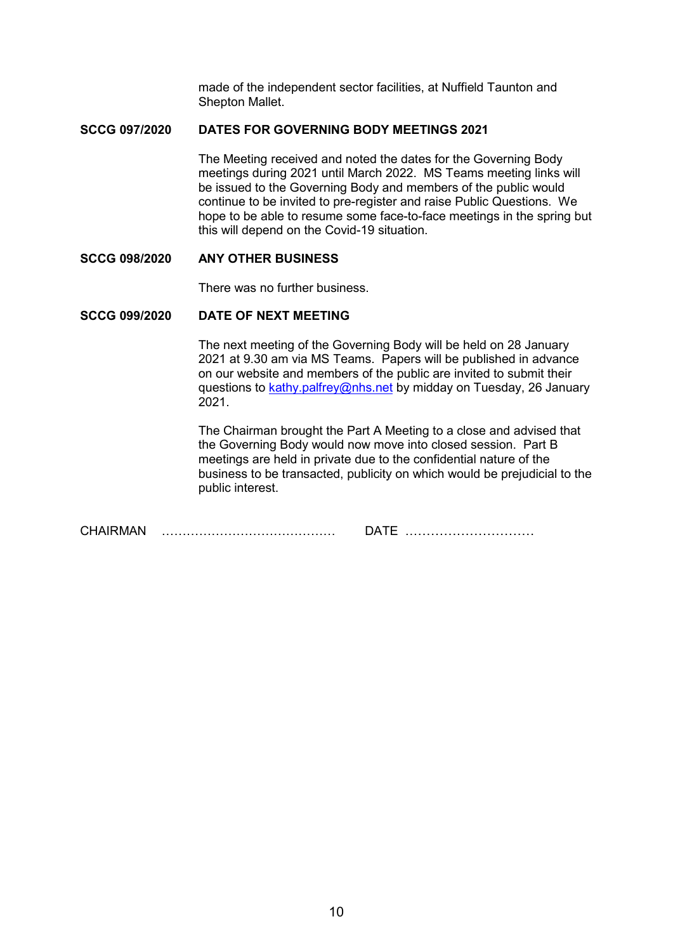made of the independent sector facilities, at Nuffield Taunton and Shepton Mallet.

### **SCCG 097/2020 DATES FOR GOVERNING BODY MEETINGS 2021**

 The Meeting received and noted the dates for the Governing Body meetings during 2021 until March 2022. MS Teams meeting links will be issued to the Governing Body and members of the public would continue to be invited to pre-register and raise Public Questions. We hope to be able to resume some face-to-face meetings in the spring but this will depend on the Covid-19 situation.

# **SCCG 098/2020 ANY OTHER BUSINESS**

There was no further business.

## **SCCG 099/2020 DATE OF NEXT MEETING**

 The next meeting of the Governing Body will be held on 28 January 2021 at 9.30 am via MS Teams. Papers will be published in advance on our website and members of the public are invited to submit their questions to kathy.palfrey@nhs.net by midday on Tuesday, 26 January 2021.

 The Chairman brought the Part A Meeting to a close and advised that the Governing Body would now move into closed session. Part B meetings are held in private due to the confidential nature of the business to be transacted, publicity on which would be prejudicial to the public interest.

CHAIRMAN …………………………………… DATE …………………………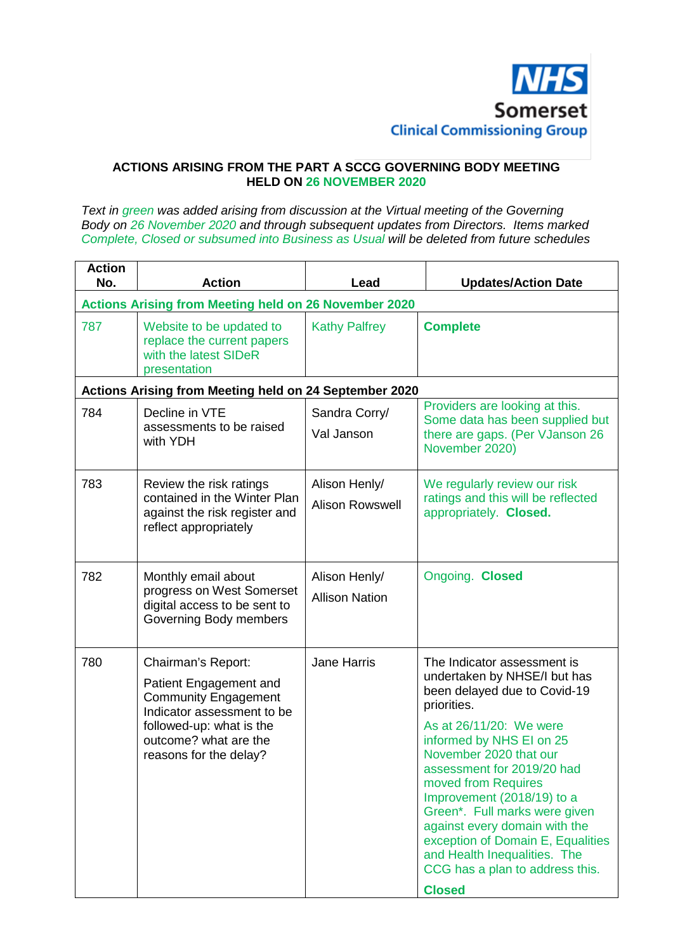

## **ACTIONS ARISING FROM THE PART A SCCG GOVERNING BODY MEETING HELD ON 26 NOVEMBER 2020**

*Text in green was added arising from discussion at the Virtual meeting of the Governing Body on 26 November 2020 and through subsequent updates from Directors. Items marked Complete, Closed or subsumed into Business as Usual will be deleted from future schedules*

| <b>Action</b><br>No. | <b>Action</b>                                                                                                                                                                            | Lead                                    | <b>Updates/Action Date</b>                                                                                                                                                                                                                                                                                                                                                                                                                                                |
|----------------------|------------------------------------------------------------------------------------------------------------------------------------------------------------------------------------------|-----------------------------------------|---------------------------------------------------------------------------------------------------------------------------------------------------------------------------------------------------------------------------------------------------------------------------------------------------------------------------------------------------------------------------------------------------------------------------------------------------------------------------|
|                      | <b>Actions Arising from Meeting held on 26 November 2020</b>                                                                                                                             |                                         |                                                                                                                                                                                                                                                                                                                                                                                                                                                                           |
| 787                  | Website to be updated to<br>replace the current papers<br>with the latest SIDeR<br>presentation                                                                                          | <b>Kathy Palfrey</b>                    | <b>Complete</b>                                                                                                                                                                                                                                                                                                                                                                                                                                                           |
|                      | Actions Arising from Meeting held on 24 September 2020                                                                                                                                   |                                         |                                                                                                                                                                                                                                                                                                                                                                                                                                                                           |
| 784                  | Decline in VTE<br>assessments to be raised<br>with YDH                                                                                                                                   | Sandra Corry/<br>Val Janson             | Providers are looking at this.<br>Some data has been supplied but<br>there are gaps. (Per VJanson 26<br>November 2020)                                                                                                                                                                                                                                                                                                                                                    |
| 783                  | Review the risk ratings<br>contained in the Winter Plan<br>against the risk register and<br>reflect appropriately                                                                        | Alison Henly/<br><b>Alison Rowswell</b> | We regularly review our risk<br>ratings and this will be reflected<br>appropriately. Closed.                                                                                                                                                                                                                                                                                                                                                                              |
| 782                  | Monthly email about<br>progress on West Somerset<br>digital access to be sent to<br>Governing Body members                                                                               | Alison Henly/<br><b>Allison Nation</b>  | Ongoing. Closed                                                                                                                                                                                                                                                                                                                                                                                                                                                           |
| 780                  | Chairman's Report:<br>Patient Engagement and<br><b>Community Engagement</b><br>Indicator assessment to be<br>followed-up: what is the<br>outcome? what are the<br>reasons for the delay? | <b>Jane Harris</b>                      | The Indicator assessment is<br>undertaken by NHSE/I but has<br>been delayed due to Covid-19<br>priorities.<br>As at 26/11/20: We were<br>informed by NHS EI on 25<br>November 2020 that our<br>assessment for 2019/20 had<br>moved from Requires<br>Improvement (2018/19) to a<br>Green*. Full marks were given<br>against every domain with the<br>exception of Domain E, Equalities<br>and Health Inequalities. The<br>CCG has a plan to address this.<br><b>Closed</b> |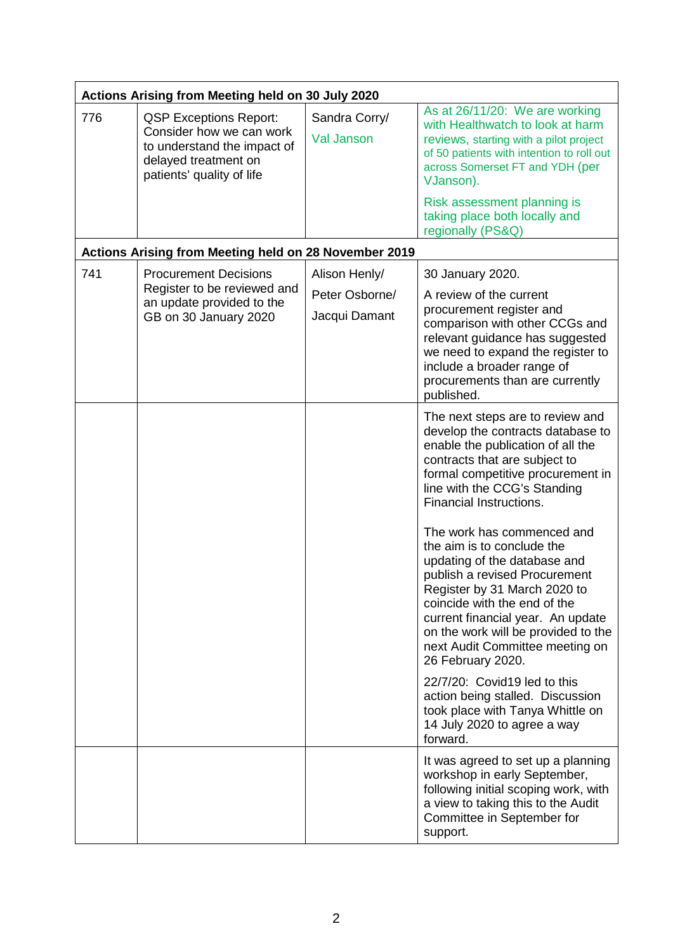| Actions Arising from Meeting held on 30 July 2020 |                                                                                                                                               |                                                  |                                                                                                                                                                                                                                                                                                                                                                                                                                                                                                                                                                                                                                                                                                                                                                                                                                                                                     |
|---------------------------------------------------|-----------------------------------------------------------------------------------------------------------------------------------------------|--------------------------------------------------|-------------------------------------------------------------------------------------------------------------------------------------------------------------------------------------------------------------------------------------------------------------------------------------------------------------------------------------------------------------------------------------------------------------------------------------------------------------------------------------------------------------------------------------------------------------------------------------------------------------------------------------------------------------------------------------------------------------------------------------------------------------------------------------------------------------------------------------------------------------------------------------|
| 776                                               | <b>QSP Exceptions Report:</b><br>Consider how we can work<br>to understand the impact of<br>delayed treatment on<br>patients' quality of life | Sandra Corry/<br><b>Val Janson</b>               | As at 26/11/20: We are working<br>with Healthwatch to look at harm<br>reviews, starting with a pilot project<br>of 50 patients with intention to roll out<br>across Somerset FT and YDH (per<br>VJanson).                                                                                                                                                                                                                                                                                                                                                                                                                                                                                                                                                                                                                                                                           |
|                                                   |                                                                                                                                               |                                                  | Risk assessment planning is<br>taking place both locally and<br>regionally (PS&Q)                                                                                                                                                                                                                                                                                                                                                                                                                                                                                                                                                                                                                                                                                                                                                                                                   |
|                                                   | Actions Arising from Meeting held on 28 November 2019                                                                                         |                                                  |                                                                                                                                                                                                                                                                                                                                                                                                                                                                                                                                                                                                                                                                                                                                                                                                                                                                                     |
| 741                                               | <b>Procurement Decisions</b><br>Register to be reviewed and<br>an update provided to the<br>GB on 30 January 2020                             | Alison Henly/<br>Peter Osborne/<br>Jacqui Damant | 30 January 2020.<br>A review of the current<br>procurement register and<br>comparison with other CCGs and<br>relevant guidance has suggested<br>we need to expand the register to<br>include a broader range of<br>procurements than are currently<br>published.                                                                                                                                                                                                                                                                                                                                                                                                                                                                                                                                                                                                                    |
|                                                   |                                                                                                                                               |                                                  | The next steps are to review and<br>develop the contracts database to<br>enable the publication of all the<br>contracts that are subject to<br>formal competitive procurement in<br>line with the CCG's Standing<br>Financial Instructions.<br>The work has commenced and<br>the aim is to conclude the<br>updating of the database and<br>publish a revised Procurement<br>Register by 31 March 2020 to<br>coincide with the end of the<br>current financial year. An update<br>on the work will be provided to the<br>next Audit Committee meeting on<br>26 February 2020.<br>22/7/20: Covid19 led to this<br>action being stalled. Discussion<br>took place with Tanya Whittle on<br>14 July 2020 to agree a way<br>forward.<br>It was agreed to set up a planning<br>workshop in early September,<br>following initial scoping work, with<br>a view to taking this to the Audit |